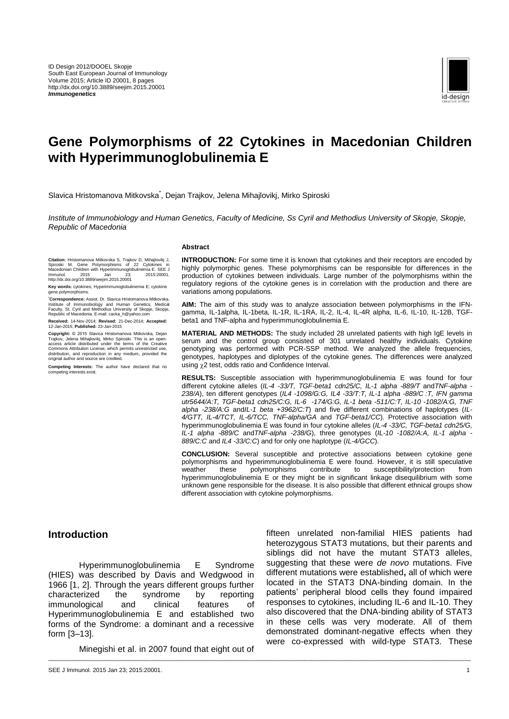

# **Gene Polymorphisms of 22 Cytokines in Macedonian Children with Hyperimmunoglobulinemia E**

Slavica Hristomanova Mitkovska<sup>\*</sup>, Dejan Trajkov, Jelena Mihajlovikj, Mirko Spiroski

*Institute of Immunobiology and Human Genetics, Faculty of Medicine, Ss Cyril and Methodius University of Skopje, Skopje, Republic of Macedonia*

\_\_\_\_\_\_\_\_\_\_\_\_\_\_\_\_\_\_\_\_\_\_\_\_\_\_\_\_\_\_\_\_\_\_\_\_\_\_\_\_\_\_\_\_\_\_\_\_\_\_\_\_\_\_\_\_\_\_\_\_\_\_\_\_\_\_\_\_\_\_\_\_\_\_\_\_\_\_\_\_\_\_\_\_\_\_\_\_\_\_\_\_\_\_\_\_\_\_\_\_\_\_\_\_\_\_\_\_\_\_\_\_\_\_\_\_\_\_\_\_\_\_\_\_\_\_\_

#### **Abstract**

**Citation:** Hristomanova Mitkovska S, Trajkov D, Mihajlovikj J, Spiroski M. Gene Polymorphisms of 22 Cytokines in Macedonian Children with Hyperimmunoglobulinemia E. SEE J Immunol. 2015 Jan 23; 2015:20001. http://dx.doi.org/10.3889/seejim.2015.20001

**Key words:** cytokines; Hyperimmunoglobulinemia E; cytokine gene polymorphisms.

Correspondence: Assist. Dr. Slavica Hristomanova Mitkovska.<br>Institute of Immunobiology and Human Genetics, Medical<br>Faculty, St. Cyril and Methodius University of Skopje, Skopje,<br>Republic of Macedonia. E-mail: cacka\_h@yahoo

**Received:** 14-Nov-2014; **Revised:** 21-Dec-2014; **Accepted:** 12-Jan-2015; **Published:** 23-Jan-2015

**Copyright:** © 2015 Slavica Hristomanova Mitkovska, Dejan Trajkov, Jelena Mihajlovikj, Mirko Spiroski. This is an open-access article distributed under the terms of the Creative Commons Attribution License, which permits unrestricted use, distribution, and reproduction in any medium, provided the original author and source are credited.

**Competing Interests:** The author have declared that no competing interests exist.

**INTRODUCTION:** For some time it is known that cytokines and their receptors are encoded by highly polymorphic genes. These polymorphisms can be responsible for differences in the production of cytokines between individuals. Large number of the polymorphisms within the regulatory regions of the cytokine genes is in correlation with the production and there are variations among populations.

**AIM:** The aim of this study was to analyze association between polymorphisms in the IFNgamma, IL-1alpha, IL-1beta, IL-1R, IL-1RA, IL-2, IL-4, IL-4R alpha, IL-6, IL-10, IL-12B, TGFbeta1 and TNF-alpha and hyperimmunoglobulinemia E.

**MATERIAL AND METHODS:** The study included 28 unrelated patients with high IgE levels in serum and the control group consisted of 301 unrelated healthy individuals. Cytokine genotyping was performed with PCR-SSP method. We analyzed the allele frequencies, genotypes, haplotypes and diplotypes of the cytokine genes. The differences were analyzed using  $\chi$ 2 test, odds ratio and Confidence Interval.

**RESULTS:** Susceptible association with hyperimmunoglobulinemia E was found for four different cytokine alleles (*IL-4 -33/T, TGF-beta1 cdn25/C, IL-1 alpha -889/T* and*TNF-alpha - 238/A*), ten different genotypes (*IL4 -1098/G:G, IL4 -33/T:T, IL-1 alpha -889/C :T, IFN gamma utr5644/A:T, TGF-beta1 cdn25/C:G, IL-6 -174/G:G, IL-1 beta -511/C:T, IL-10 -1082/A:G, TNF alpha -238/A:G* and*IL-1 beta +3962/C:T*) and five different combinations of haplotypes (*IL-4/GTT, IL-4/TCT, IL-6/TCC, TNF-alpha/GA* and *TGF-beta1/CC*). Protective association with hyperimmunoglobulinemia E was found in four cytokine alleles (*IL-4 -33/C, TGF-beta1 cdn25/G, IL-1 alpha -889/C* and*TNF-alpha -238/G*), three genotypes (*IL-10 -1082/A:A, IL-1 alpha - 889/C:C* and *IL4 -33/C:C*) and for only one haplotype (*IL-4/GCC*).

**CONCLUSION:** Several susceptible and protective associations between cytokine gene polymorphisms and hyperimmunoglobulinemia E were found. However, it is still speculative weather these polymorphisms contribute to susceptibility/protection from weather these polymorphisms contribute to susceptibility/protection from hyperimmunoglobulinemia E or they might be in significant linkage disequilibrium with some unknown gene responsible for the disease. It is also possible that different ethnical groups show different association with cytokine polymorphisms.

### **Introduction**

Hyperimmunoglobulinemia E Syndrome (HIES) was described by Davis and Wedgwood in 1966 [1, 2]. Through the years different groups further characterized the syndrome by reporting immunological and clinical features of Hyperimmunoglobulinemia E and established two forms of the Syndrome: a dominant and a recessive form [3–13].

Minegishi et al. in 2007 found that eight out of

fifteen unrelated non-familial HIES patients had heterozygous STAT3 mutations, but their parents and siblings did not have the mutant STAT3 alleles, suggesting that these were *de novo* mutations. Five different mutations were established**,** all of which were located in the STAT3 DNA-binding domain. In the patients' peripheral blood cells they found impaired responses to cytokines, including IL-6 and IL-10. They also discovered that the DNA-binding ability of STAT3 in these cells was very moderate. All of them demonstrated dominant-negative effects when they were co-expressed with wild-type STAT3. These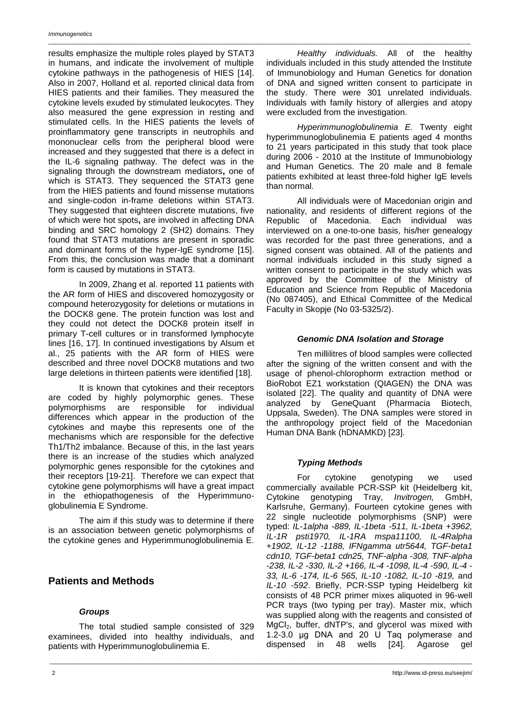results emphasize the multiple roles played by STAT3 in humans, and indicate the involvement of multiple cytokine pathways in the pathogenesis of HIES [14]. Also in 2007, Holland et al. reported clinical data from HIES patients and their families. They measured the cytokine levels exuded by stimulated leukocytes. They also measured the gene expression in resting and stimulated cells. In the HIES patients the levels of proinflammatory gene transcripts in neutrophils and mononuclear cells from the peripheral blood were increased and they suggested that there is a defect in the IL-6 signaling pathway. The defect was in the signaling through the downstream mediators**,** one of which is STAT3. They sequenced the STAT3 gene from the HIES patients and found missense mutations and single-codon in-frame deletions within STAT3. They suggested that eighteen discrete mutations, five of which were hot spots**,** are involved in affecting DNA binding and SRC homology 2 (SH2) domains. They found that STAT3 mutations are present in sporadic and dominant forms of the hyper-IgE syndrome [15]. From this, the conclusion was made that a dominant form is caused by mutations in STAT3.

In 2009, Zhang et al. reported 11 patients with the AR form of HIES and discovered homozygosity or compound heterozygosity for deletions or mutations in the DOCK8 gene. The protein function was lost and they could not detect the DOCK8 protein itself in primary T-cell cultures or in transformed lymphocyte lines [16, 17]. In continued investigations by Alsum et al., 25 patients with the AR form of HIES were described and three novel DOCK8 mutations and two large deletions in thirteen patients were identified [18].

It is known that cytokines and their receptors are coded by highly polymorphic genes. These polymorphisms are responsible for individual differences which appear in the production of the cytokines and maybe this represents one of the mechanisms which are responsible for the defective Th1/Th2 imbalance. Because of this, in the last years there is an increase of the studies which analyzed polymorphic genes responsible for the cytokines and their receptors [19-21]. Therefore we can expect that cytokine gene polymorphisms will have a great impact in the ethiopathogenesis of the Hyperimmunoglobulinemia E Syndrome.

The aim if this study was to determine if there is an association between genetic polymorphisms of the cytokine genes and Hyperimmunoglobulinemia E.

### **Patients and Methods**

### *Groups*

The total studied sample consisted of 329 examinees, divided into healthy individuals, and patients with Hyperimmunoglobulinemia E.

*Healthy individuals.* All of the healthy individuals included in this study attended the Institute of Immunobiology and Human Genetics for donation of DNA and signed written consent to participate in the study. There were 301 unrelated individuals. Individuals with family history of allergies and atopy were excluded from the investigation.

\_\_\_\_\_\_\_\_\_\_\_\_\_\_\_\_\_\_\_\_\_\_\_\_\_\_\_\_\_\_\_\_\_\_\_\_\_\_\_\_\_\_\_\_\_\_\_\_\_\_\_\_\_\_\_\_\_\_\_\_\_\_\_\_\_\_\_\_\_\_\_\_\_\_\_\_\_\_\_\_\_\_\_\_\_\_\_\_\_\_\_\_\_\_\_\_\_\_\_\_\_\_\_\_\_\_\_\_\_\_\_\_\_\_\_\_\_\_\_\_\_\_\_\_\_\_\_

*Hyperimmunoglobulinemia E.* Twenty eight hyperimmunoglobulinemia E patients aged 4 months to 21 years participated in this study that took place during 2006 - 2010 at the Institute of Immunobiology and Human Genetics. The 20 male and 8 female patients exhibited at least three-fold higher IgE levels than normal.

All individuals were of Macedonian origin and nationality, and residents of different regions of the Republic of Macedonia. Each individual was interviewed on a one-to-one basis, his/her genealogy was recorded for the past three generations, and a signed consent was obtained. All of the patients and normal individuals included in this study signed a written consent to participate in the study which was approved by the Committee of the Ministry of Education and Science from Republic of Macedonia (No 087405), and Ethical Committee of the Medical Faculty in Skopje (No 03-5325/2).

### *Genomic DNA Isolation and Storage*

Ten millilitres of blood samples were collected after the signing of the written consent and with the usage of phenol-chlorophorm extraction method or BioRobot EZ1 workstation (QIAGEN) the DNA was isolated [22]. The quality and quantity of DNA were analyzed by GeneQuant (Pharmacia Biotech, Uppsala, Sweden). The DNA samples were stored in the anthropology project field of the Macedonian Human DNA Bank (hDNAMKD) [23].

### *Typing Methods*

\_\_\_\_\_\_\_\_\_\_\_\_\_\_\_\_\_\_\_\_\_\_\_\_\_\_\_\_\_\_\_\_\_\_\_\_\_\_\_\_\_\_\_\_\_\_\_\_\_\_\_\_\_\_\_\_\_\_\_\_\_\_\_\_\_\_\_\_\_\_\_\_\_\_\_\_\_\_\_\_\_\_\_\_\_\_\_\_\_\_\_\_\_\_\_\_\_\_\_\_\_\_\_\_\_\_\_\_\_\_\_\_\_\_\_\_\_\_\_\_\_\_\_\_\_\_\_

For cytokine genotyping we used commercially available PCR-SSP kit (Heidelberg kit, Cytokine genotyping Tray, *Invitrogen,* GmbH, Karlsruhe, Germany). Fourteen cytokine genes with 22 single nucleotide polymorphisms (SNP) were typed: *IL-1alpha -889, IL-1beta -511, IL-1beta +3962, IL-1R psti1970, IL-1RA mspa11100, IL-4Ralpha +1902, IL-12 -1188, IFNgamma utr5644, TGF-beta1 cdn10, TGF-beta1 cdn25, TNF-alpha -308, TNF-alpha -238, IL-2 -330, IL-2 +166, IL-4 -1098, IL-4 -590, IL-4 - 33, IL-6 -174, IL-6 565, IL-10 -1082, IL-10 -819,* and *IL-10 -592*. Briefly, PCR-SSP typing Heidelberg kit consists of 48 PCR primer mixes aliquoted in 96-well PCR trays (two typing per tray). Master mix, which was supplied along with the reagents and consisted of  $MgCl<sub>2</sub>$ , buffer, dNTP's, and glycerol was mixed with 1.2-3.0 μg DNA and 20 U Taq polymerase and dispensed in 48 wells [24]. Agarose gel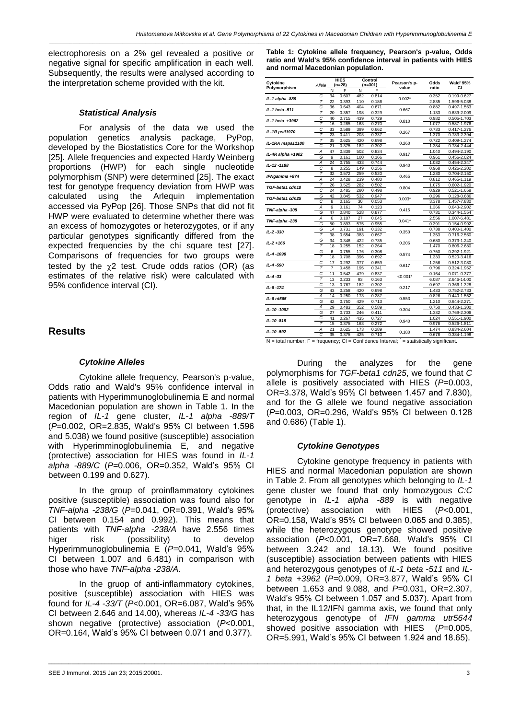*\_\_\_\_\_\_\_\_\_\_\_\_\_\_\_\_\_\_\_\_\_\_\_\_\_\_\_\_\_\_\_\_\_\_\_\_\_\_\_\_\_\_\_\_\_\_\_\_\_\_\_\_\_\_\_\_\_\_\_\_\_\_\_\_\_\_\_\_\_\_\_\_\_\_\_\_\_\_\_\_\_\_\_\_\_\_\_\_\_\_\_\_\_\_\_\_\_\_\_\_\_\_\_\_\_\_\_\_\_\_\_\_\_\_\_\_\_\_\_\_\_\_\_\_\_\_\_*

electrophoresis on a 2% gel revealed a positive or negative signal for specific amplification in each well. Subsequently, the results were analysed according to the interpretation scheme provided with the kit.

#### *Statistical Analysis*

For analysis of the data we used the population genetics analysis package, PyPop, developed by the Biostatistics Core for the Workshop [25]. Allele frequencies and expected Hardy Weinberg proportions (HWP) for each single nucleotide polymorphism (SNP) were determined [25]. The exact test for genotype frequency deviation from HWP was calculated using the Arlequin implementation accessed via PyPop [26]. Those SNPs that did not fit HWP were evaluated to determine whether there was an excess of homozygotes or heterozygotes, or if any particular genotypes significantly differed from the expected frequencies by the chi square test [27]. Comparisons of frequencies for two groups were tested by the  $\gamma$ 2 test. Crude odds ratios (OR) (as estimates of the relative risk) were calculated with 95% confidence interval (CI).

### **Results**

#### *Cytokine Alleles*

Cytokine allele frequency, Pearson's p-value, Odds ratio and Wald's 95% confidence interval in patients with Hyperimmunoglobulinemia E and normal Macedonian population are shown in Table 1. In the region of *IL-1* gene cluster, *IL-1 alpha -889/T* (*P*=0.002, OR=2.835, Wald's 95% CI between 1.596 and 5.038) we found positive (susceptible) association with Hyperimminoglobulinemia E, and negative (protective) association for HIES was found in *IL-1 alpha -889/C* (*P*=0.006, OR=0.352, Wald's 95% CI between 0.199 and 0.627).

In the group of proinflammatory cytokines positive (susceptible) association was found also for *TNF-alpha -238/G* (*P*=0.041, OR=0.391, Wald's 95% CI between 0.154 and 0.992). This means that patients with *TNF-alpha -238/A* have 2.556 times higer risk (possibility) to develop Hyperimmunoglobulinemia E (*P*=0.041, Wald's 95% CI between 1.007 and 6.481) in comparison with those who have *TNF-alpha -238/A*.

In the gruop of anti-inflammatory cytokines, positive (susceptible) association with HIES was found for *IL-4 -33/T* (*P*<0.001, OR=6.087, Wald's 95% CI between 2.646 and 14.00), whereas *IL-4 -33/G* has shown negative (protective) association (*P*<0.001, OR=0.164, Wald's 95% CI between 0.071 and 0.377).

\_\_\_\_\_\_\_\_\_\_\_\_\_\_\_\_\_\_\_\_\_\_\_\_\_\_\_\_\_\_\_\_\_\_\_\_\_\_\_\_\_\_\_\_\_\_\_\_\_\_\_\_\_\_\_\_\_\_\_\_\_\_\_\_\_\_\_\_\_\_\_\_\_\_\_\_\_\_\_\_\_\_\_\_\_\_\_\_\_\_\_\_\_\_\_\_\_\_\_\_\_\_\_\_\_\_\_\_\_\_\_\_\_\_\_\_\_\_\_\_\_\_\_\_\_\_\_

**Table 1: Cytokine allele frequency, Pearson's p-value, Odds ratio and Wald's 95% confidence interval in patients with HIES and normal Macedonian population.**

| Cytokine<br>Polymorphism                                         | Allele                 | <b>HIES</b><br>$(n=28)$ |       | Control<br>$(n=301)$ |       | Pearson's p-                 | Odds  | <b>Wald' 95%</b> |
|------------------------------------------------------------------|------------------------|-------------------------|-------|----------------------|-------|------------------------------|-------|------------------|
|                                                                  |                        | Ñ                       | F     | Ñ                    | F     | value                        | ratio | СI               |
| IL-1 alpha -889                                                  | C                      | 34                      | 0.607 | 482                  | 0.814 | $0.002*$                     | 0.352 | 0.199-0.627      |
|                                                                  | $\overline{\tau}$      | 22                      | 0.393 | 110                  | 0.186 |                              | 2.835 | 1.596-5.038      |
| IL-1 beta -511                                                   | C                      | 36                      | 0.643 | 404                  | 0.671 | 0.667                        | 0.882 | 0.497-1.563      |
|                                                                  | T                      | 20                      | 0.357 | 198                  | 0.329 |                              | 1.133 | 0.639-2.009      |
| IL-1 beta +3962                                                  | C                      | 40                      | 0.715 | 439                  | 0.729 | 0.810                        | 0.982 | 0.505-1.703      |
|                                                                  | $\overline{\tau}$      | 16                      | 0.285 | 163                  | 0.270 |                              | 1.077 | 0.587-1.976      |
| IL-1R pstl1970                                                   | C                      | 33                      | 0.589 | 399                  | 0.662 | 0.267                        | 0.733 | 0.417-1.276      |
|                                                                  | $\overline{\tau}$      | 23                      | 0.411 | 203                  | 0.337 |                              | 1.370 | 0.783-2.394      |
| IL-1RA mspa11100                                                 | T                      | 35                      | 0.625 | 420                  | 0.698 | 0.260                        | 0.722 | 0.409-1.274      |
|                                                                  | C                      | 21                      | 0.375 | 182                  | 0.302 |                              | 1.384 | 0.784-2.444      |
|                                                                  | Ā                      | 47                      | 0.839 | 502                  | 0.834 |                              | 1.040 | 0.494-2.190      |
| IL-4R alpha +1902                                                | Ğ                      | 9                       | 0.161 | 100                  | 0.166 | 0.917                        | 0.961 | 0.456-2.024      |
|                                                                  | Α                      | 24                      | 0.755 | 433                  | 0.744 |                              | 1.032 | 0.454-2.347      |
| IL-12-1188                                                       | Ċ                      | 8                       | 0.255 | 149                  | 0.256 | 0.940                        | 0.968 | 0.426-2.202      |
|                                                                  | T                      | 32                      | 0.572 | 259                  | 0.520 |                              | 1.230 | 0.704-2.150      |
| IFNgamma +874                                                    | Α                      | 24                      | 0.428 | 239                  | 0.480 | 0.465                        | 0.812 | 0.465-1.119      |
|                                                                  | $\overline{\tau}$      | 26                      | 0.525 | 282                  | 0.502 |                              | 1.075 | 0.602-1.920      |
| TGF-beta1 cdn10                                                  | C                      | 24                      | 0.485 | 280                  | 0.498 | 0.804                        | 0.929 | 0.521-1.658      |
| TGF-beta1 cdn25                                                  | Ğ                      | 42                      | 0.845 | 532                  | 0.947 | $0.003*$                     | 0.296 | 0.128-0.686      |
|                                                                  | C                      | 8                       | 0.165 | 30                   | 0.053 |                              | 3.378 | 1.457-7.830      |
| TNF-alpha-308                                                    | Α                      | 9                       | 0.161 | 74                   | 0.123 | 0.415                        | 1.366 | 0.643-2.902      |
|                                                                  | G                      | 47                      | 0.840 | 528                  | 0.877 |                              | 0.731 | 0.344-1.554      |
| TNF-alpha-238                                                    | A                      | 6                       | 0.107 | 27                   | 0.045 |                              | 2.556 | 1.007-6.481      |
|                                                                  | G                      | 50                      | 0.893 | 575                  | 0.955 | $0.041*$                     | 0.391 | 0.154-0.992      |
|                                                                  | Ğ                      | 14                      | 0.731 | 191                  | 0.332 |                              | 0.738 |                  |
| IL-2-330                                                         | $\overline{\tau}$      | 38                      |       |                      |       | 0.350                        |       | 0.400-1.400      |
|                                                                  |                        |                         | 0.654 | 383                  | 0.667 |                              | 1.353 | 0.716-2.560      |
| $IL - 2 + 166$                                                   | G<br>$\overline{\tau}$ | 34                      | 0.346 | 422                  | 0.735 | 0.206                        | 0.680 | 0.373-1.240      |
|                                                                  |                        | 18                      | 0.255 | 152                  | 0.264 |                              | 1.470 | 0.806-2.680      |
| IL-4-1098                                                        | G                      | 6                       | 0.755 | 176                  | 0.308 | 0.574                        | 0.750 | 0.292-1.921      |
|                                                                  | $\overline{\tau}$      | 18                      | 0.708 | 396                  | 0.692 |                              | 1.333 | $0.520 - 3.416$  |
| IL-4-590                                                         | Ċ                      | 17                      | 0.292 | 377                  | 0.659 | 0.617                        | 1.256 | 0.512-3.080      |
|                                                                  | $\overline{\tau}$      | $\overline{7}$          | 0.458 | 195                  | 0.341 |                              | 0.796 | 0.324-1.952      |
| IL-4-33                                                          | C                      | 11                      | 0.542 | 479                  | 0.837 | $< 0.001*$                   | 0.164 | 0.071-0.377      |
|                                                                  | T                      | 13                      | 0.233 | 93                   | 0.163 |                              | 6.087 | 2.646-14.00      |
| IL-6-174                                                         | C                      | 13                      | 0.767 | 182                  | 0.302 | 0.217                        | 0.697 | 0.366-1.328      |
|                                                                  | Ğ                      | 43                      | 0.258 | 420                  | 0.698 |                              | 1.433 | 0.752-2.733      |
| IL-6 nt565                                                       | A                      | 14                      | 0.250 | 173                  | 0.287 | 0.553                        | 0.826 | 0.440-1.552      |
|                                                                  | G                      | 42                      | 0.750 | 429                  | 0.713 |                              | 1.210 | 0.644-2.271      |
| IL-10-1082                                                       | Ā                      | 29                      | 0.483 | 352                  | 0.589 | 0.304                        | 0.750 | $0.433 - 1.300$  |
|                                                                  | G                      | 27                      | 0.733 | 246                  | 0.411 |                              | 1.332 | 0.769-2.306      |
|                                                                  | C                      | 41                      | 0.267 | 435                  | 0.727 | 0.940                        | 1.024 | 0.551-1.900      |
| IL-10-819                                                        | $\overline{\tau}$      | 15                      | 0.375 | 163                  | 0.272 |                              | 0.976 | 0.526-1.811      |
|                                                                  | A                      | 21                      | 0.625 | 173                  | 0.289 | 0.180                        | 1.474 | 0.834-2.604      |
| IL-10-592                                                        | C                      | 35                      | 0.375 | 425                  | 0.710 |                              | 0.678 | 0.384-1.198      |
| $N =$ total number: $F =$ frequency: $Cl =$ Confidence Interval: |                        |                         |       |                      |       | = statistically significant. |       |                  |

N = total number; F = frequency; CI = Confidence Interval; **\*** = statistically significant.

During the analyzes for the gene polymorphisms for *TGF-beta1 cdn25*, we found that *C*  allele is positively associated with HIES (*P*=0.003, OR=3.378, Wald's 95% CI between 1.457 and 7.830), and for the G allele we found negative association (*P*=0.003, OR=0.296, Wald's 95% CI between 0.128 and 0.686) (Table 1).

#### *Cytokine Genotypes*

Cytokine genotype frequency in patients with HIES and normal Macedonian population are shown in Table 2. From all genotypes which belonging to *IL-1* gene cluster we found that only homozygous *C:C* genotype in *IL-1 alpha -889* is with negative (protective) association with HIES (*P*<0.001, OR=0.158, Wald's 95% CI between 0.065 and 0.385), while the heterozygous genotype showed positive association (*P*<0.001, OR=7.668, Wald's 95% CI between 3.242 and 18.13). We found positive (susceptible) association between patients with HIES and heterozygous genotypes of *IL-1 beta -511* and *IL-1 beta +3962* (*P=*0.009, OR=3.877, Wald's 95% CI between 1.653 and 9.088, and *P=*0.031, OR=2.307, Wald's 95% CI between 1.057 and 5.037). Apart from that, in the IL12/IFN gamma axis, we found that only heterozygous genotype of *IFN gamma utr5644* showed positive association with HIES (*P=*0.005, OR=5.991, Wald's 95% CI between 1.924 and 18.65).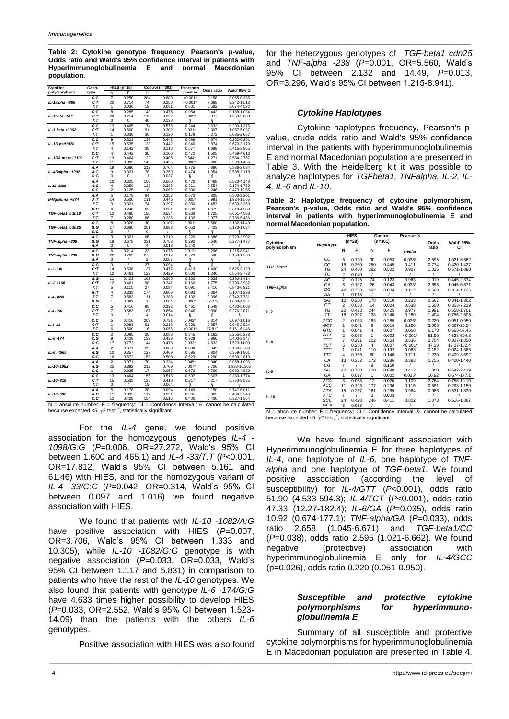**Table 2: Cytokine genotype frequency, Pearson's p-value, Odds ratio and Wald's 95% confidence interval in patients with Hyperimmunoglobulinemia E and normal Macedonian population.**

| Cytokine         | Geno-             | <b>HIES (n=28)</b>  |                |           | Control (n=301) | Pearson's         | Odds ratio     | Wald' 95% CI               |
|------------------|-------------------|---------------------|----------------|-----------|-----------------|-------------------|----------------|----------------------------|
| polymorphism     | type              | N                   | F              | N         | F               | p-value           |                |                            |
|                  | C:C               | 7                   | 0.250          | 204       | 0.689           | $< 0.001*$        | 0.158          | 0.065-0.385                |
| IL-1alpha -889   | C:T               | 20                  | 0.714          | 74        | 0.250           | $< 0.001*$        | 7.668          | 3.242-18.13                |
|                  | T:T               | 1                   | 0.036          | 18        | 0.061           | 0.601             | 0.582          | 0.074-4.532                |
|                  | C:C               | 8                   | 0.285          | 143       | 0.475           | 0.054             | 0.442          | 0.188-1.034                |
| IL-1beta -511    | C:T               | 20                  | 0.714          | 118       | 0.392           | $0.009*$          | 3.877          | 1.653-9.088                |
|                  | T:T               | $\mathbf 0$         | $\mathbf 0$    | 40        | 0.133           | §                 | ş              | §                          |
| IL-1 beta +3962  | C:C<br>C:T        | 13<br>14            | 0.465<br>0.500 | 174<br>91 | 0.578<br>0.302  | 0.244<br>$0.031*$ | 0.632<br>2.307 | 0.290-1.376<br>1.057-5.037 |
|                  | T:T               | 1                   | 0.036          | 36        | 0.120           | 0.178             | 0.272          | 0.035-2.067                |
|                  | C:C               | 9                   | 0.321          | 133       | 0.442           | 0.589             | 0.874          | 0.262-0.251                |
| IL-1R pstl1970   | C:T               | 15                  | 0.535          | 133       | 0.442           | 0.340             | 0.874          | 0.670-3.170                |
|                  | T:T               | 4                   | 0.142          | 35        | 0.116           | 0.677             | 1.688          | 0.415-3.865                |
|                  | C:C               | $\overline{4}$      | 0.442          | 30        | 0.100           | 0.472             | 1.505          | 0.489-4.613                |
| IL-1RA mspa11100 | C:T               | 13                  | 0.464          | 122       | 0.405           | $0.544*$          | 1.271          | 0.584-2.767                |
|                  | T:T               | 11                  | 0.392          | 149       | 0.495           | $0.300*$          | 0.606          | 0.299-1.456                |
|                  | A:A               | 19                  | 0.680          | 212       | 0.704           | 0.775             | 0.886          | 0.386-2.034                |
| IL-4Ralpha +1902 | A:G               | 9                   | 0.321          | 78        | 0.259           | 0.474             | 1.354          | 0.588-3.118                |
|                  | G:G               | 0                   | 0              | 11        | 0.037           | ş                 | ş              | §                          |
|                  | A:A               | 10                  | 0.625          | 160       | 0.550           | 0.470             | 1.468          | 0.520-4.143                |
| IL-12-1188       | A:C<br>C:C        | 4<br>$\overline{2}$ | 0.250<br>0.125 | 113<br>18 | 0.388<br>0.062  | 0.311<br>0.300    | 0.554<br>2.246 | 0.174-1.760<br>0.473-10.65 |
|                  | A:A               | 5                   | 0.178          | 64        | 0.257           | 0.672             | 0.805          | 0.300-2.201                |
| IFNgamma +874    | A:T               | 14                  | 0.500          | 111       | 0.446           | 0.005"            | 5.991          | 1.924-18.65                |
|                  | T:T               | 9                   | 0.321          | 74        | 0.297           | 0.380             | 1.453          | 0.630-3.350                |
|                  | C:C               | 6                   | 0.240          | 65        | 0.231           | 0.309             | 1.675          | 0.613-4.580                |
| TGF-beta1 cdn10  | C:T               | 12                  | 0.480          | 150       | 0.534           | 0.260             | 1.725          | 0.661-4.503                |
|                  | T:T               | 7                   | 0.280          | 66        | 0.235           | 0.132             | 2.077          | 0.786-5.486                |
|                  | C:G               | 8                   | 0.320          | 30        | 0.107           | $0.001*$          | 5.560          | 2.132-14.49                |
| TGF-beta1 cdn25  | G:G               | 17                  | 0.680          | 251       | 0.893           | 0.053             | 0.423          | 0.173-1.034                |
|                  | C:C               | 0                   |                | 0         | 1               | ş                 | ş              | §                          |
|                  | A:G               | 9                   | 0.321          | 66        | 0.219           | 0.220<br>0.292    | 1.686          | 0.729-3.902                |
| TNF-alpha -308   | G:G<br>A:A        | 19<br>0             | 0.678<br>0     | 231<br>4  | 0.768<br>0.013  | 0.540             | 0.640          | 0.277-1.477                |
|                  | A:G               | 6                   | 0.214          | 23        | 0.076           | 0.013'            | 3.296          | 1.215-8.941                |
| TNF-alpha -238   | G:G               | 22                  | 0.785          | 276       | 0.917           | 0.223             | 0.500          | 0.159-1.560                |
|                  | A:A               | 0                   |                | 2         | 0.007           | ş                 | §              | §                          |
|                  | G:G               | 0                   |                | 27        | 0.094           | ş                 | ş              | ş                          |
| $IL - 2 - 330$   | G:T               | 14                  | 0.538          | 137       | 0.477           | 0.413             | 1.400          | 0.625-3.120                |
|                  | T:T               | 12                  | 0.461          | 123       | 0.429           | 0.600             | 1.240          | 0.554-2.773                |
|                  | G:G               | 11                  | 0.423          | 162       | 0.565           | 0.260             | 0.629          | 0.280-1.414                |
| $IL - 2 + 166$   | G:T               | 12                  | 0.461          | 98        | 0.341           | 0.160             | 1.775          | 0.790-3.982                |
|                  | T:T<br>G: T       | 5<br>$\overline{4}$ | 0.115<br>0.333 | 27<br>174 | 0.094<br>0.608  | 0.091<br>0.093    | 2.416<br>0.364 | 0.843-6.921<br>0.107-1.238 |
| $IL-4 - 1098$    | T:T               | $\overline{7}$      | 0.583          | 111       | 0.388           | 0.132             | 2.396          | 0.742-7.731                |
|                  | G:G               | 1                   | 0.083          | 1         | 0.004           | $0.006*$          | 27.272         | 1.600-465.1                |
|                  | C:C               | 5                   | 0.416          | 95        | 0.332           | 0.461             | 1.548          | 0.480-5.006                |
| $IL-4 - 590$     | C:T               | 7                   | 0.583          | 187       | 0.654           | 0.846             | 0.890          | 0.276-2.871                |
|                  | T:T               | O                   |                | 4         | 0.014           | ş                 | §              | ş                          |
|                  | C:C               | 5                   | 0.416          | 209       | 0.731           | 0.042             | 0.314          | 0.097-1.016                |
| $IL - 4 - 33$    | C:T               | 1                   | 0.083          | 61        | 0.213           | 0.309             | 0.357          | 0.045-2.824                |
|                  | T:T               | 6                   | 0.500          | 16        | 0.056           | $< 0.001*$        | 17.812         | 5.161-61.46                |
| IL-6-174         | C:C<br>C:G        | $\overline{2}$<br>9 | 0.095<br>0.428 | 25<br>132 | 0.083<br>0.439  | 0.845<br>0.929    | 1.162<br>0.960 | 0.255-5.278                |
|                  | G:G               | 17                  | 0.772          | 144       | 0.478           | $0.033*$          | 4.633          | 0.400-2.347<br>1.523-14.09 |
|                  | A:A               | $\overline{2}$      | 0.071          | 25        | 0.083           | 0.830             | 0.849          | 0.190-3.788                |
| IL-6 nt565       | A:G               | 10                  | 0.357          | 123       | 0.409           | 0.595             | 0.804          | 0.359-1.801                |
|                  | G:G               | 16                  | 0.572          | 153       | 0.508           | 0.523             | 1.290          | 0.590-2.819                |
|                  | A:A               | $\overline{2}$      | 0.071          | 70        | 0.234           | 0.045'            | 0.040          | 0.058-1.096                |
| IL-10-1082       | A:G               | 25                  | 0.892          | 212       | 0.709           | $0.007*$          | 3.706          | 1.333-10.305               |
|                  | G:G               | $\mathbf{1}$        | 0.035          | 17        | 0.057           | 0.670             | 0.700          | 0.080-4.830                |
|                  | $\overline{c}$ :c | 13                  | 0.464          | 155       | 0.518           | 0.607             | 0.607          | 0.380-1.774                |
| IL-10-819        | C:T               | 15                  | 0.535          | 125       | 0.418           | 0.217             | 0.217          | 0.750-3.535                |
|                  | T:T               | 0                   |                | 19        | 0.064           | ş                 | ş              | §                          |
| IL-10-592        | A:A<br>A:C        | 5<br>11             | 0.178<br>0.392 | 28<br>117 | 0.094<br>0.391  | 0.149<br>0.965    | 0.150<br>0.965 | 0.747-6.011<br>0.460-2.249 |
|                  | C:C               | 12                  | 0.428          | 154       | 0.515           | 0.400             | 0.400          | 0.327-1.564                |
|                  |                   |                     |                |           |                 |                   |                |                            |

N = absolute number; F = frequency; CI = Confidence Interval; &, cannot be calculated<br>because expected <5, χ2 test; <sup>\*</sup>, statistically significant.

For the *IL-4* gene, we found positive association for the homozygous genotypes *IL-4 - 1098/G:G* (*P=*0.006, OR=27.272, Wald's 95% CI between 1.600 and 465.1) and *IL-4 -33/T:T* (*P<*0.001, OR=17.812, Wald's 95% CI between 5.161 and 61.46) with HIES, and for the homozygous variant of *IL-4 -33/C:C* (*P=*0.042, OR=0.314, Wald's 95% CI between 0.097 and 1.016) we found negative association with HIES.

We found that patients with *IL-10 -1082/A:G*  have positive association with HIES (*P=*0.007, OR=3.706, Wald's 95% CI between 1.333 and 10.305), while *IL-10 -1082/G:G* genotype is with negative association (*P=*0.033, OR=0.033, Wald's 95% CI between 1.117 and 5.831) in comparison to patients who have the rest of the *IL-10* genotypes. We also found that patients with genotype *IL-6 -174/G:G* have 4.633 times higher possibility to develop HIES (*P=*0.033, OR=2.552, Wald's 95% CI between 1.523- 14.09) than the patients with the others *IL-6* genotypes.

Positive association with HIES was also found

\_\_\_\_\_\_\_\_\_\_\_\_\_\_\_\_\_\_\_\_\_\_\_\_\_\_\_\_\_\_\_\_\_\_\_\_\_\_\_\_\_\_\_\_\_\_\_\_\_\_\_\_\_\_\_\_\_\_\_\_\_\_\_\_\_\_\_\_\_\_\_\_\_\_\_\_\_\_\_\_\_\_\_\_\_\_\_\_\_\_\_\_\_\_\_\_\_\_\_\_\_\_\_\_\_\_\_\_\_\_\_\_\_\_\_\_\_\_\_\_\_\_\_\_\_\_\_

for the heterzygous genotypes of *TGF-beta1 cdn25* and *TNF-alpha -238* (*P=*0.001, OR=5.560, Wald's 95% CI between 2.132 and 14.49, *P=*0.013, OR=3.296, Wald's 95% CI between 1.215-8.941).

#### *Cytokine Haplotypes*

\_\_\_\_\_\_\_\_\_\_\_\_\_\_\_\_\_\_\_\_\_\_\_\_\_\_\_\_\_\_\_\_\_\_\_\_\_\_\_\_\_\_\_\_\_\_\_\_\_\_\_\_\_\_\_\_\_\_\_\_\_\_\_\_\_\_\_\_\_\_\_\_\_\_\_\_\_\_\_\_\_\_\_\_\_\_\_\_\_\_\_\_\_\_\_\_\_\_\_\_\_\_\_\_\_\_\_\_\_\_\_\_\_\_\_\_\_\_\_\_\_\_\_\_\_\_\_

Cytokine haplotypes frequency, Pearson's pvalue, crude odds ratio and Wald's 95% confidence interval in the patients with hyperimmunoglobulinemia E and normal Macedonian population are presented in Table 3. With the Heidelberg kit it was possible to analyze haplotypes for *TGFbeta1, TNFalpha, IL-2, IL-4, IL-6* and *IL-10*.

**Table 3: Haplotype frequency of cytokine polymorphism, Pearson's p-value, Odds ratio and Wald's 95% confidence interval in patients with hyperimmunoglobulinemia E and normal Macedonian population.**

| Cytokine     | Haplotype              | <b>HIES</b><br>$(n=28)$ |                                   | Control<br>$(n=301)$      |       | Pearson's          | Odds          | <b>Wald' 95%</b> |
|--------------|------------------------|-------------------------|-----------------------------------|---------------------------|-------|--------------------|---------------|------------------|
| polymorphism |                        | N                       | F                                 | N                         | F     | p-value            | ratio         | CI               |
|              | СC                     | 6                       | 0.120                             | 30                        | 0.053 | $0.038*$           | 2.595         | 1.021-6.662      |
| TGF-beta1    | CG                     | 18                      | 0.360                             | 250                       | 0.445 | 0.411              | 0.774         | 0.420-1.427      |
|              | TG                     | 24                      | 0.480                             | 282                       | 0.502 | 0.907              | 1.036         | 0.571-1.880      |
|              | ТC                     | $\overline{\mathbf{c}}$ | 0.040                             | 1                         | 7     |                    | 7             |                  |
|              | AG                     | $\overline{7}$          | 0.125                             | 74                        | 0.123 | 0.963              | 1.019         | 0.445-2.334      |
| TNF-alpha    | GA                     | 6                       | 0.107                             | 26                        | 0.043 | $0.033*$           | 2.658         | 1.045-6.671      |
|              | GG                     | 42                      | 0.750                             | 502                       | 0.834 | 0.112              | 0.600         | 0.314-1.135      |
|              | AA                     | 1                       | 0.018                             | I                         | 1     |                    |               |                  |
|              | GG                     | 12                      | 0.230                             | 178                       | 0.310 | 0.233              | 0.667         | 0.341-1.302      |
|              | GT                     | $\overline{2}$          | 0.038                             | 14                        | 0.024 | 0.538              | 1.600         | 0.353-7.239      |
| $IL-2$       | ТG                     | 22                      | 0.423                             | 244                       | 0.425 | 0.977              | 0.991         | 0.558-1.761      |
|              | TT                     | 16                      | 0.307                             | 138                       | 0.240 | 0.280              | 1.404         | 0.755-2.608      |
|              | GCC                    | $\overline{2}$          | 0.083                             | 163                       | 0.285 | $0.026*$           | 0.220         | 0.051-0.950      |
|              | GCT                    | 1                       | 0.041                             | 8                         | 0.014 | 0.260              | 3.065         | 0.367-25.54      |
|              | GTC                    | 1                       | 0.041                             | $\overline{4}$            | 0.007 | 0.068              | 6.173         | 0.663-57.45      |
|              | GTT                    | $\overline{2}$          | 0.083                             | 1                         | 0.002 | $< 0.001*$         | 51.90         | 4.533-594.3      |
| $IL-4$       | <b>TCC</b>             | $\overline{7}$          | 0.291                             | 202                       | 0.353 | 0.536              | 0.754         | 0.307-1.850      |
|              | <b>TCT</b>             | 6                       | 0.250                             | 4                         | 0.007 | $< 0.001*$         | 47.33         | 12.27-182.4      |
|              | <b>TTC</b>             | 1                       | 0.041                             | 110                       | 0.192 | 0.063              | 0.182         | 0.024-1.366      |
|              | TП                     | $\overline{4}$          | 0.166                             | 80                        | 0.140 | 0.711              | 1.230         | 0.409-3.692      |
|              | CA                     | 13                      | 0.232                             | 172                       | 0.286 | 0.393              | 0.755         | 0.400-1.440      |
|              | CG                     | $\prime$                | 1                                 | 9                         | 0.150 | 7                  | 7             |                  |
| $IL-6$       | GG                     | 42                      | 0.750                             | 420                       | 0.698 | 0.412              | 1.300         | 0.692-2.439      |
|              | GA                     | 1                       | 0.017                             | 1                         | 0.002 | $0.035*$           | 10.92         | 0.674-177.1      |
|              | <b>ACA</b>             | 3                       | 0.053                             | 12                        | 0.020 | 0.109              | 2.764         | 0.756-10.10      |
|              | <b>ACC</b>             | 11                      | 0.196                             | 177                       | 0.296 | 0.115              | 0.581         | 0.293-1.150      |
|              | ATA                    | 15                      | 0.267                             | 161                       | 0.269 | 0.964              | 0.986         | 0.531-1.830      |
| $IL-10$      | <b>ATC</b>             | $\prime$                |                                   | $\overline{2}$            | 0.003 |                    |               |                  |
|              | GCC                    | 24                      | 0.428                             | 246                       | 0.411 | 0.802              | 1.073         | 0.616-1.867      |
| $\sim$<br>.  | GCA<br>-<br>$\epsilon$ | 3                       | 0.053<br>$\overline{\phantom{0}}$ | 1<br>$\sim$ $\sim$ $\sim$ |       | $\cdots$<br>$\sim$ | $\sim$ $\sim$ | .                |

N = absolute number; F = frequency; CI = Confidence Interval; &, cannot be calculated because expected <5, 2 test; **\*** , statistically significant.

We have found significant association with Hyperimmunoglobulinemia E for three haplotypes of *IL-4*, one haplotype of *IL-6,* one haplotype of *TNFalpha* and one haplotype of *TGF-beta1.* We found positive association (according the level of susceptibility) for *IL-4/GTT* (*P*<0.001), odds ratio 51.90 (4.533-594.3); *IL-4/TCT* (*P*<0.001), odds ratio 47.33 (12.27-182.4); *IL-6/GA* (*P*=0.035), odds ratio 10.92 (0.674-177.1); *TNF-alpha/GA* (*P*=0.033), odds ratio 2.658 (1.045-6.671) and *TGF-beta1/CC* (*P*=0.038), odds ratio 2.595 (1.021-6.662). We found negative (protective) association with hyperimmunoglobulinemia E only for *IL-4/GCC* (p=0.026), odds ratio 0.220 (0.051-0.950).

#### *Susceptible and protective cytokine polymorphisms for hyperimmunoglobulinemia E*

Summary of all susceptible and protective cytokine polymorphisms for hyperimmunoglobulinemia E in Macedonian population are presented in Table 4.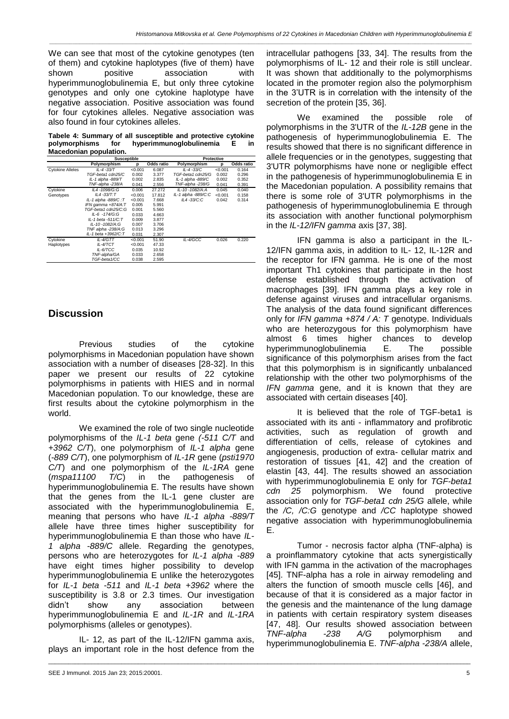*\_\_\_\_\_\_\_\_\_\_\_\_\_\_\_\_\_\_\_\_\_\_\_\_\_\_\_\_\_\_\_\_\_\_\_\_\_\_\_\_\_\_\_\_\_\_\_\_\_\_\_\_\_\_\_\_\_\_\_\_\_\_\_\_\_\_\_\_\_\_\_\_\_\_\_\_\_\_\_\_\_\_\_\_\_\_\_\_\_\_\_\_\_\_\_\_\_\_\_\_\_\_\_\_\_\_\_\_\_\_\_\_\_\_\_\_\_\_\_\_\_\_\_\_\_\_\_*

We can see that most of the cytokine genotypes (ten of them) and cytokine haplotypes (five of them) have shown positive association with hyperimmunoglobulinemia E, but only three cytokine genotypes and only one cytokine haplotype have negative association. Positive association was found for four cytokines alleles. Negative association was also found in four cytokines alleles.

**Tabele 4: Summary of all susceptible and protective cytokine polymorphisms for hyperimmunoglobulinemia E in Macedonian population.**

|                         | Susceptible         |         |            | Protective           |         |            |  |
|-------------------------|---------------------|---------|------------|----------------------|---------|------------|--|
|                         | Polymorphism        | р       | Odds ratio | Polymorphism         | р       | Odds ratio |  |
| <b>Cytokine Alleles</b> | $IL - 4 - 33/T$     | < 0.001 | 6.087      | IL-4-33/C            | < 0.001 | 0.164      |  |
|                         | TGF-beta1.cdn25/C   | 0.002   | 3.377      | TGF-beta1 cdn25/G    | 0.002   | 0.296      |  |
|                         | IL-1 alpha -889/T   | 0.002   | 2.835      | IL-1 alpha -889/C    | 0.002   | 0.352      |  |
|                         | TNF-alpha -238/A    | 0.041   | 2.556      | TNF-alpha -238/G     | 0.041   | 0.391      |  |
| Cytokine                | IL4-1098/G:G        | 0.006   | 27.272     | $IL - 10 - 1082/A A$ | 0.045   | 0.040      |  |
| Genotypes               | $IL4 - 33/T: T$     | < 0.001 | 17.812     | IL-1 alpha -889/C:C  | < 0.001 | 0.158      |  |
|                         | IL-1 alpha -889/C:T | < 0.001 | 7.668      | $IL4 - 33/C:C$       | 0.042   | 0.314      |  |
|                         | IFN gamma +874/A:T  | 0.005   | 5.991      |                      |         |            |  |
|                         | TGF-beta1.cdn25/C:G | 0.001   | 5.560      |                      |         |            |  |
|                         | IL-6 -174/G:G       | 0.033   | 4.663      |                      |         |            |  |
|                         | IL-1 beta -511/C:T  | 0.009   | 3.877      |                      |         |            |  |
|                         | IL-10-1082/A:G      | 0.007   | 3.706      |                      |         |            |  |
|                         | TNF alpha -238/A:G  | 0.013   | 3.296      |                      |         |            |  |
|                         | IL-1 beta +3962/C:T | 0.031   | 2.307      |                      |         |            |  |
| Cytokine                | IL-4/GTT            | < 0.001 | 51.90      | IL-4/GCC             | 0.026   | 0.220      |  |
| Haplotypes              | IL-4/TCT            | < 0.001 | 47.33      |                      |         |            |  |
|                         | IL-6/TCC            | 0.035   | 10.92      |                      |         |            |  |
|                         | TNF-alpha/GA        | 0.033   | 2.658      |                      |         |            |  |
|                         | TGF-beta1/CC        | 0.038   | 2.595      |                      |         |            |  |

## **Discussion**

Previous studies of the cytokine polymorphisms in Macedonian population have shown association with a number of diseases [28-32]. In this paper we present our results of 22 cytokine polymorphisms in patients with HIES and in normal Macedonian population. To our knowledge, these are first results about the cytokine polymorphism in the world.

We examined the role of two single nucleotide polymorphisms of the *IL-1 beta* gene *(-511 C/T* and *+3962 C/T*), one polymorphism of *IL-1 alpha* gene (*-889 C/T*), one polymorphism of *IL-1R* gene (*psti1970 C/T*) and one polymorphism of the *IL-1RA* gene (*mspa11100 T/C*) in the pathogenesis of hyperimmunoglobulinemia E. The results have shown that the genes from the IL-1 gene cluster are associated with the hyperimmunoglobulinemia E, meaning that persons who have *IL-1 alpha -889/T* allele have three times higher susceptibility for hyperimmunoglobulinemia E than those who have *IL-1 alpha -889/C* allele. Regarding the genotypes, persons who are heterozygotes for *IL-1 alpha -889* have eight times higher possibility to develop hyperimmunoglobulinemia E unlike the heterozygotes for *IL-1 beta -511* and *IL-1 beta +3962* where the susceptibility is 3.8 or 2.3 times. Our investigation didn't show any association between hyperimmunoglobulinemia E and *IL-1R* and *IL-1RA*  polymorphisms (alleles or genotypes).

IL- 12, as part of the IL-12/IFN gamma axis, plays an important role in the host defence from the

\_\_\_\_\_\_\_\_\_\_\_\_\_\_\_\_\_\_\_\_\_\_\_\_\_\_\_\_\_\_\_\_\_\_\_\_\_\_\_\_\_\_\_\_\_\_\_\_\_\_\_\_\_\_\_\_\_\_\_\_\_\_\_\_\_\_\_\_\_\_\_\_\_\_\_\_\_\_\_\_\_\_\_\_\_\_\_\_\_\_\_\_\_\_\_\_\_\_\_\_\_\_\_\_\_\_\_\_\_\_\_\_\_\_\_\_\_\_\_\_\_\_\_\_\_\_\_

intracellular pathogens [33, 34]. The results from the polymorphisms of IL- 12 and their role is still unclear. It was shown that additionally to the polymorphisms located in the promoter region also the polymorphism in the 3'UTR is in correlation with the intensity of the secretion of the protein [35, 36].

We examined the possible role of polymorphisms in the 3'UTR of the *IL-12B* gene in the pathogenesis of hyperimmunoglobulinemia E. The results showed that there is no significant difference in allele frequencies or in the genotypes, suggesting that 3'UTR polymorphisms have none or negligible effect in the pathogenesis of hyperimmunoglobulinemia E in the Macedonian population. A possibility remains that there is some role of 3'UTR polymorphisms in the pathogenesis of hyperimmunoglobulinemia E through its association with another functional polymorphism in the *IL-12/IFN gamma* axis [37, 38].

IFN gamma is also a participant in the IL-12/IFN gamma axis, in addition to IL- 12, IL-12R and the receptor for IFN gamma. He is one of the most important Th1 cytokines that participate in the host defense established through the activation of macrophages [39]. IFN gamma plays a key role in defense against viruses and intracellular organisms. The analysis of the data found significant differences only for *IFN gamma +874 / A: T* genotype. Individuals who are heterozygous for this polymorphism have almost 6 times higher chances to develop hyperimmunoglobulinemia E. The possible significance of this polymorphism arises from the fact that this polymorphism is in significantly unbalanced relationship with the other two polymorphisms of the *IFN gamma* gene, and it is known that they are associated with certain diseases [40].

It is believed that the role of TGF-beta1 is associated with its anti - inflammatory and profibrotic activities, such as regulation of growth and differentiation of cells, release of cytokines and angiogenesis, production of extra- cellular matrix and restoration of tissues [41, 42] and the creation of elastin [43, 44]. The results showed an association with hyperimmunoglobulinemia E only for *TGF-beta1 cdn 25* polymorphism. We found protective association only for *TGF-beta1 cdn 25/G* allele, while the */C, /C:G* genotype and */CC* haplotype showed negative association with hyperimmunoglobulinemia E.

Tumor - necrosis factor alpha (TNF-alpha) is a proinflammatory cytokine that acts synergistically with IFN gamma in the activation of the macrophages [45]. TNF-alpha has a role in airway remodeling and alters the function of smooth muscle cells [46], and because of that it is considered as a major factor in the genesis and the maintenance of the lung damage in patients with certain respiratory system diseases [47, 48]. Our results showed association between *TNF-alpha -238 A/G* polymorphism and hyperimmunoglobulinemia E. *TNF-alpha -238/A* allele,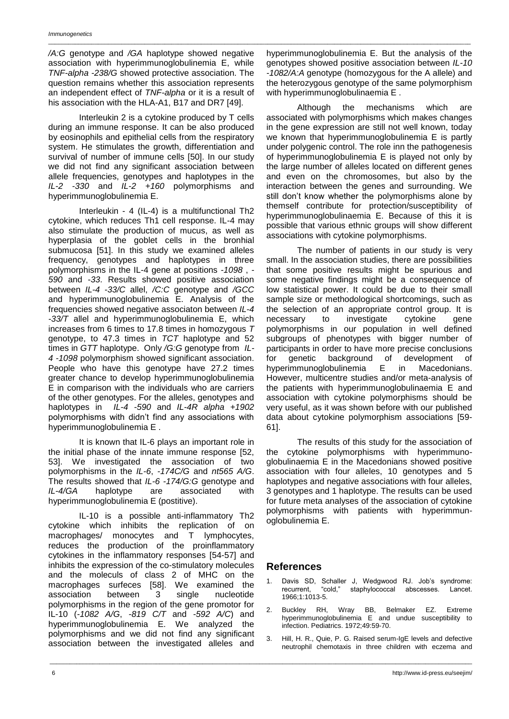*/A:G* genotype and */GA* haplotype showed negative association with hyperimmunoglobulinemia E, while *TNF-alpha -238/G* showed protective association. The question remains whether this association represents an independent effect of *TNF-alpha* or it is a result of his association with the HLA-A1, B17 and DR7 [49].

\_\_\_\_\_\_\_\_\_\_\_\_\_\_\_\_\_\_\_\_\_\_\_\_\_\_\_\_\_\_\_\_\_\_\_\_\_\_\_\_\_\_\_\_\_\_\_\_\_\_\_\_\_\_\_\_\_\_\_\_\_\_\_\_\_\_\_\_\_\_\_\_\_\_\_\_\_\_\_\_\_\_\_\_\_\_\_\_\_\_\_\_\_\_\_\_\_\_\_\_\_\_\_\_\_\_\_\_\_\_\_\_\_\_\_\_\_\_\_\_\_\_\_\_\_\_\_

Interleukin 2 is a cytokine produced by T cells during an immune response. It can be also produced by eosinophils and epithelial cells from the respiratory system. He stimulates the growth, differentiation and survival of number of immune cells [50]. In our study we did not find any significant association between allele frequencies, genotypes and haplotypes in the *IL-2 -330* and *IL-2 +160* polymorphisms and hyperimmunoglobulinemia E.

Interleukin - 4 (IL-4) is a multifunctional Th2 cytokine, which reduces Th1 cell response. IL-4 may also stimulate the production of mucus, as well as hyperplasia of the goblet cells in the bronhial submucosa [51]. In this study we examined alleles frequency, genotypes and haplotypes in three polymorphisms in the IL-4 gene at positions *-1098* , *- 590* and -*33*. Results showed positive association between *IL-4 -33/C* allel, */C:C* genotype and */GCC* and hyperimmunoglobulinemia E. Analysis of the frequencies showed negative associaton between *IL-4 -33/T* allel and hyperimmunoglobulinemia E, which increases from 6 times to 17.8 times in homozygous *T* genotype, to 47.3 times in *TCT* haplotype and 52 times in *GTT* haplotype. Only */G:G* genotype from *IL-4 -1098* polymorphism showed significant association. People who have this genotype have 27.2 times greater chance to develop hyperimmunoglobulinemia E in comparison with the individuals who are carriers of the other genotypes. For the alleles, genotypes and haplotypes in *IL-4 -590* and *IL-4R alpha +1902* polymorphisms with didn't find any associations with hyperimmunoglobulinemia E .

It is known that IL-6 plays an important role in the initial phase of the innate immune response [52, 53]. We investigated the association of two polymorphisms in the *IL-6*, *-174C/G* and *nt565 A/G*. The results showed that *IL-6 -174/G:G* genotype and *IL-4/GA* haplotype are associated with hyperimmunoglobulinemia E (postitive).

IL-10 is a possible anti-inflammatory Th2 cytokine which inhibits the replication of on macrophages/ monocytes and T lymphocytes, reduces the production of the proinflammatory cytokines in the inflammatory responses [54-57] and inhibits the expression of the co-stimulatory molecules and the moleculs of class 2 of MHC on the macrophages surfeces [58]. We examined the association between 3 single nucleotide polymorphisms in the region of the gene promotor for IL-10 (*-1082 A/G*, *-819 C/T* and *-592 A/C*) and hyperimmunoglobulinemia E. We analyzed the polymorphisms and we did not find any significant association between the investigated alleles and

hyperimmunoglobulinemia E. But the analysis of the genotypes showed positive association between *IL-10 -1082/A:A* genotype (homozygous for the A allele) and the heterozygous genotype of the same polymorphism with hyperimmunoglobulinaemia E.

Although the mechanisms which are associated with polymorphisms which makes changes in the gene expression are still not well known, today we known that hyperimmunoglobulinemia E is partly under polygenic control. The role inn the pathogenesis of hyperimmunoglobulinemia E is played not only by the large number of alleles located on different genes and even on the chromosomes, but also by the interaction between the genes and surrounding. We still don't know whether the polymorphisms alone by themself contribute for protection/susceptibility of hyperimmunoglobulinaemia E. Because of this it is possible that various ethnic groups will show different associations with cytokine polymorphisms.

The number of patients in our study is very small. In the association studies, there are possibilities that some positive results might be spurious and some negative findings might be a consequence of low statistical power. It could be due to their small sample size or methodological shortcomings, such as the selection of an appropriate control group. It is necessary to investigate cytokine gene polymorphisms in our population in well defined subgroups of phenotypes with bigger number of participants in order to have more precise conclusions for genetic background of development of hyperimmunoglobulinemia E in Macedonians. However, multicentre studies and/or meta-analysis of the patients with hyperimmunoglobulinaemia E and association with cytokine polymorphisms should be very useful, as it was shown before with our published data about cytokine polymorphism associations [59- 61].

The results of this study for the association of the cytokine polymorphisms with hyperimmunoglobulinaemia E in the Macedonians showed positive association with four alleles, 10 genotypes and 5 haplotypes and negative associations with four alleles, 3 genotypes and 1 haplotype. The results can be used for future meta analyses of the association of cytokine polymorphisms with patients with hyperimmunoglobulinemia E.

### **References**

\_\_\_\_\_\_\_\_\_\_\_\_\_\_\_\_\_\_\_\_\_\_\_\_\_\_\_\_\_\_\_\_\_\_\_\_\_\_\_\_\_\_\_\_\_\_\_\_\_\_\_\_\_\_\_\_\_\_\_\_\_\_\_\_\_\_\_\_\_\_\_\_\_\_\_\_\_\_\_\_\_\_\_\_\_\_\_\_\_\_\_\_\_\_\_\_\_\_\_\_\_\_\_\_\_\_\_\_\_\_\_\_\_\_\_\_\_\_\_\_\_\_\_\_\_\_\_

- 1. Davis SD, Schaller J, Wedgwood RJ. Job's syndrome: recurrent, "cold," staphylococcal abscesses. Lancet. 1966;1:1013-5.
- 2. Buckley RH, Wray BB, Belmaker EZ. Extreme hyperimmunoglobulinemia E and undue susceptibility to infection. Pediatrics. 1972;49:59-70.
- 3. Hill, H. R., Quie, P. G. Raised serum-IgE levels and defective neutrophil chemotaxis in three children with eczema and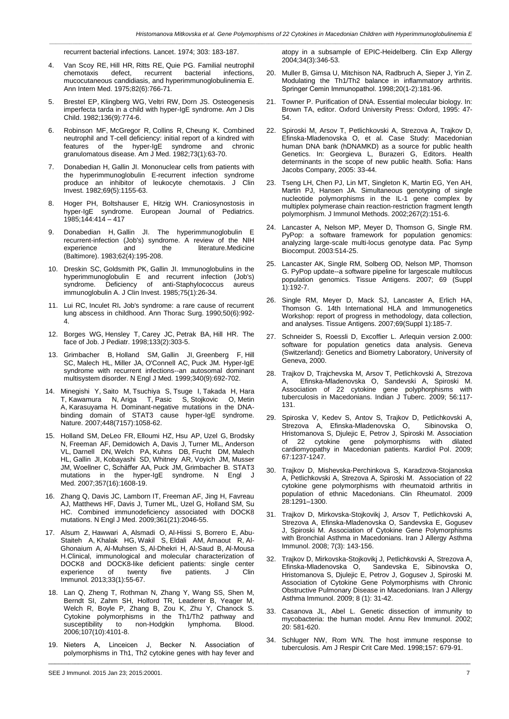*\_\_\_\_\_\_\_\_\_\_\_\_\_\_\_\_\_\_\_\_\_\_\_\_\_\_\_\_\_\_\_\_\_\_\_\_\_\_\_\_\_\_\_\_\_\_\_\_\_\_\_\_\_\_\_\_\_\_\_\_\_\_\_\_\_\_\_\_\_\_\_\_\_\_\_\_\_\_\_\_\_\_\_\_\_\_\_\_\_\_\_\_\_\_\_\_\_\_\_\_\_\_\_\_\_\_\_\_\_\_\_\_\_\_\_\_\_\_\_\_\_\_\_\_\_\_\_*

recurrent bacterial infections. Lancet. 1974; 303: 183-187.

- 4. Van [Scoy](http://www.ncbi.nlm.nih.gov/pubmed?term=Van%20Scoy%20RE%5BAuthor%5D&cauthor=true&cauthor_uid=1138587) RE, Hill [HR,](http://www.ncbi.nlm.nih.gov/pubmed?term=Hill%20HR%5BAuthor%5D&cauthor=true&cauthor_uid=1138587) [Ritts](http://www.ncbi.nlm.nih.gov/pubmed?term=Ritts%20RE%5BAuthor%5D&cauthor=true&cauthor_uid=1138587) RE, [Quie](http://www.ncbi.nlm.nih.gov/pubmed?term=Quie%20PG%5BAuthor%5D&cauthor=true&cauthor_uid=1138587) PG. Familial neutrophil chemotaxis defect, recurrent mucocutaneous candidiasis, and hyperimmunoglobulinemia E. Ann [Intern](http://www.ncbi.nlm.nih.gov/pubmed?term=Van%20Scoy%2C%20R.%20E.%2C%20Hill%2C%20H.%20R.%2C%20Ritts%2C%20R.%20E.%2C%20Jr.%2C%20Quie%2C%20P.%20G.%20Familial%20neutrophil%20chemotaxis%20defect%2C%20recurrent%20bacterial%20infections%2C%20mucocutaneous%20candidiasis%2C%20and%20hyperimmunoglobulinemia%20E.%20Ann.%20Intern.%20Med.%2082%3A%20766-771%2C%201975.%20%5BPubMed%3A%201138587%5D) Med. 1975;82(6):766-71.
- 5. [Brestel](http://www.ncbi.nlm.nih.gov/pubmed?term=Brestel%20EP%5BAuthor%5D&cauthor=true&cauthor_uid=6981344) EP, [Klingberg](http://www.ncbi.nlm.nih.gov/pubmed?term=Klingberg%20WG%5BAuthor%5D&cauthor=true&cauthor_uid=6981344) WG, [Veltri](http://www.ncbi.nlm.nih.gov/pubmed?term=Veltri%20RW%5BAuthor%5D&cauthor=true&cauthor_uid=6981344) RW, [Dorn](http://www.ncbi.nlm.nih.gov/pubmed?term=Dorn%20JS%5BAuthor%5D&cauthor=true&cauthor_uid=6981344) JS. Osteogenesis imperfecta tarda in a child with hyper-IgE syndrome. [Am](http://www.ncbi.nlm.nih.gov/pubmed?term=Brestel%2C%20E.%20P.%2C%20Klingberg%2C%20W.%20G.%2C%20Veltri%2C%20R.%20W.%2C%20Dorn%2C%20J.%20S.%20Osteogenesis%20imperfecta%20tarda%20in%20a%20child%20with%20hyper%20IgE%20syndrome.%20Am.%20J.%20Dis.%20Child.%20136%3A%20774-776%2C%201982.%20%5BPubMed%3A%206981344) J Dis [Child.](http://www.ncbi.nlm.nih.gov/pubmed?term=Brestel%2C%20E.%20P.%2C%20Klingberg%2C%20W.%20G.%2C%20Veltri%2C%20R.%20W.%2C%20Dorn%2C%20J.%20S.%20Osteogenesis%20imperfecta%20tarda%20in%20a%20child%20with%20hyper%20IgE%20syndrome.%20Am.%20J.%20Dis.%20Child.%20136%3A%20774-776%2C%201982.%20%5BPubMed%3A%206981344) 1982;136(9):774-6.
- 6. [Robinson](http://www.ncbi.nlm.nih.gov/pubmed?term=Robinson%20MF%5BAuthor%5D&cauthor=true&cauthor_uid=6979928) MF, [McGregor](http://www.ncbi.nlm.nih.gov/pubmed?term=McGregor%20R%5BAuthor%5D&cauthor=true&cauthor_uid=6979928) R, [Collins](http://www.ncbi.nlm.nih.gov/pubmed?term=Collins%20R%5BAuthor%5D&cauthor=true&cauthor_uid=6979928) R, [Cheung](http://www.ncbi.nlm.nih.gov/pubmed?term=Cheung%20K%5BAuthor%5D&cauthor=true&cauthor_uid=6979928) K. Combined neutrophil and T-cell deficiency: initial report of a kindred with features of the hyper-IgE syndrome and chronic granulomatous disease. Am J [Med.](http://www.ncbi.nlm.nih.gov/pubmed?term=Robinson%2C%20M.%20F.%2C%20McGregor%2C%20R.%2C%20Collins%2C%20R.%2C%20Cheung%2C%20K.%20Combined%20neutrophil%20and%20T-cell%20deficiency%3A%20initial%20report%20of%20a%20kindred%20with%20features%20of%20the%20hyper-IgE%20syndrome%20and%20chronic%20granulomatous%20disease.%20Am.%20J.%20Med.%2073%3A%2063-70%2C%201982.%20%5BPubMed%3A%206979928) 1982;73(1):63-70.
- 7. [Donabedian](http://www.ncbi.nlm.nih.gov/pubmed?term=Donabedian%20H%5BAuthor%5D&cauthor=true&cauthor_uid=7068851) H, [Gallin](http://www.ncbi.nlm.nih.gov/pubmed?term=Gallin%20JI%5BAuthor%5D&cauthor=true&cauthor_uid=7068851) JI. Mononuclear cells from patients with the hyperimmunoglobulin E-recurrent infection syndrome produce an inhibitor of leukocyte chemotaxis. J [Clin](http://www.ncbi.nlm.nih.gov/pubmed?term=Donabedian%2C%20H.%2C%20Gallin%2C%20J.%20I.%20Mononuclear%20cells%20from%20patients%20with%20the%20hyperimmunoglobulin%20E-recurrent-infection%20syndrome%20produce%20an%20inhibitor%20of%20leukocyte%20chemotaxis.%20J.%20Clin.%20Invest.%2069%3A%201155-1163%2C%201982.%20%5BPubMed%3A%207068851) [Invest.](http://www.ncbi.nlm.nih.gov/pubmed?term=Donabedian%2C%20H.%2C%20Gallin%2C%20J.%20I.%20Mononuclear%20cells%20from%20patients%20with%20the%20hyperimmunoglobulin%20E-recurrent-infection%20syndrome%20produce%20an%20inhibitor%20of%20leukocyte%20chemotaxis.%20J.%20Clin.%20Invest.%2069%3A%201155-1163%2C%201982.%20%5BPubMed%3A%207068851) 1982;69(5):1155-63.
- Hoger PH, Boltshauser E, Hitzig WH. Craniosynostosis in hyper-IgE syndrome. European Journal of Pediatrics. 1985;144:414 – 417
- 9. [Donabedian](http://www.ncbi.nlm.nih.gov/pubmed?term=Donabedian%20H%5BAuthor%5D&cauthor=true&cauthor_uid=6348470) H, [Gallin](http://www.ncbi.nlm.nih.gov/pubmed?term=Gallin%20JI%5BAuthor%5D&cauthor=true&cauthor_uid=6348470) JI. The hyperimmunoglobulin E recurrent-infection (Job's) syndrome. A review of the NIH<br>experience and the literature Medicine and the literatur[e.Medicine](http://www.ncbi.nlm.nih.gov/pubmed?term=Donabedian%2C%20H.%2C%20Gallin%2C%20J.%20I.%20The%20hyperimmunoglobulin%20E%20recurrent-infection%20(Job) [\(Baltimore\).](http://www.ncbi.nlm.nih.gov/pubmed?term=Donabedian%2C%20H.%2C%20Gallin%2C%20J.%20I.%20The%20hyperimmunoglobulin%20E%20recurrent-infection%20(Job) 1983;62(4):195-208.
- 10. [Dreskin](http://www.ncbi.nlm.nih.gov/pubmed?term=Dreskin%20SC%5BAuthor%5D&cauthor=true&cauthor_uid=3871199) SC, [Goldsmith](http://www.ncbi.nlm.nih.gov/pubmed?term=Goldsmith%20PK%5BAuthor%5D&cauthor=true&cauthor_uid=3871199) PK, [Gallin](http://www.ncbi.nlm.nih.gov/pubmed?term=Gallin%20JI%5BAuthor%5D&cauthor=true&cauthor_uid=3871199) JI. Immunoglobulins in the hyperimmunoglobulin E and recurrent infection (Job's) syndrome. Deficiency of anti-Staphylococcus aureus immunoglobulin A. J Clin [Invest.](http://www.ncbi.nlm.nih.gov/pubmed?term=Dreskin%2C%20S.%20C.%2C%20Goldsmith%2C%20P.%20K.%2C%20Gallin%2C%20J.%20I.%20Immunoglobulins%20in%20the%20hyperimmunoglobulin%20E%20and%20recurrent%20infection%20(Job) 1985;75(1):26-34.
- 11. Lui RC, Inculet RI**.** Job's syndrome: a rare cause of recurrent lung abscess in childhood. Ann Thorac Surg. 1990;50(6):992- 4.
- 12. Borges WG, Hensley T, Carey JC, Petrak BA, Hill HR. The face of Job. J Pediatr. 1998;133(2):303-5.
- 13. Grimbacher B, Holland SM, Gallin JI, Greenberg F, Hill SC, Malech HL, Miller JA, O'Connell AC, Puck JM. Hyper-IgE syndrome with recurrent infections--an autosomal dominant multisystem disorder. N Engl J Med. 1999;340(9):692-702.
- 14. Minegishi Y, Saito M, Tsuchiya S, Tsuge I, Takada H, Hara T, Kawamura N, Ariga T, Pasic S, Stojkovic O, Metin A, Karasuyama H. Dominant-negative mutations in the DNAbinding domain of STAT3 cause hyper-IgE syndrome. Nature. 2007;448(7157):1058-62.
- 15. Holland SM, DeLeo FR, Elloumi HZ, Hsu AP, Uzel G, Brodsky N, Freeman AF, Demidowich A, Davis J, Turner ML, Anderson VL, Darnell DN, Welch PA, Kuhns DB, Frucht DM, Malech HL, Gallin JI, Kobayashi SD, Whitney AR, Voyich JM, Musser JM, Woellner C, Schäffer AA, Puck JM, Grimbacher B. STAT3 mutations in the hyper-IgE syndrome. N Engl J Med. 2007;357(16):1608-19.
- 16. Zhang Q, Davis JC, Lamborn IT, Freeman AF, Jing H, Favreau AJ, Matthews HF, Davis J, Turner ML, Uzel G, Holland SM, Su HC. Combined immunodeficiency associated with DOCK8 mutations. N Engl J Med. 2009;361(21):2046-55.
- 17. [Alsum Z,](http://www.ncbi.nlm.nih.gov/pubmed?term=Alsum%20Z%5BAuthor%5D&cauthor=true&cauthor_uid=22968740) [Hawwari A,](http://www.ncbi.nlm.nih.gov/pubmed?term=Hawwari%20A%5BAuthor%5D&cauthor=true&cauthor_uid=22968740) [Alsmadi O,](http://www.ncbi.nlm.nih.gov/pubmed?term=Alsmadi%20O%5BAuthor%5D&cauthor=true&cauthor_uid=22968740) [Al-Hissi S,](http://www.ncbi.nlm.nih.gov/pubmed?term=Al-Hissi%20S%5BAuthor%5D&cauthor=true&cauthor_uid=22968740) [Borrero E,](http://www.ncbi.nlm.nih.gov/pubmed?term=Borrero%20E%5BAuthor%5D&cauthor=true&cauthor_uid=22968740) [Abu-](http://www.ncbi.nlm.nih.gov/pubmed?term=Abu-Staiteh%20A%5BAuthor%5D&cauthor=true&cauthor_uid=22968740)[Staiteh A,](http://www.ncbi.nlm.nih.gov/pubmed?term=Abu-Staiteh%20A%5BAuthor%5D&cauthor=true&cauthor_uid=22968740) [Khalak HG,](http://www.ncbi.nlm.nih.gov/pubmed?term=Khalak%20HG%5BAuthor%5D&cauthor=true&cauthor_uid=22968740) [Wakil S,](http://www.ncbi.nlm.nih.gov/pubmed?term=Wakil%20S%5BAuthor%5D&cauthor=true&cauthor_uid=22968740) [Eldali AM,](http://www.ncbi.nlm.nih.gov/pubmed?term=Eldali%20AM%5BAuthor%5D&cauthor=true&cauthor_uid=22968740) [Arnaout R,](http://www.ncbi.nlm.nih.gov/pubmed?term=Arnaout%20R%5BAuthor%5D&cauthor=true&cauthor_uid=22968740) [Al-](http://www.ncbi.nlm.nih.gov/pubmed?term=Al-Ghonaium%20A%5BAuthor%5D&cauthor=true&cauthor_uid=22968740)[Ghonaium A,](http://www.ncbi.nlm.nih.gov/pubmed?term=Al-Ghonaium%20A%5BAuthor%5D&cauthor=true&cauthor_uid=22968740) [Al-Muhsen S,](http://www.ncbi.nlm.nih.gov/pubmed?term=Al-Muhsen%20S%5BAuthor%5D&cauthor=true&cauthor_uid=22968740) [Al-Dhekri H,](http://www.ncbi.nlm.nih.gov/pubmed?term=Al-Dhekri%20H%5BAuthor%5D&cauthor=true&cauthor_uid=22968740) [Al-Saud B,](http://www.ncbi.nlm.nih.gov/pubmed?term=Al-Saud%20B%5BAuthor%5D&cauthor=true&cauthor_uid=22968740) [Al-Mousa](http://www.ncbi.nlm.nih.gov/pubmed?term=Al-Mousa%20H%5BAuthor%5D&cauthor=true&cauthor_uid=22968740)  [H.](http://www.ncbi.nlm.nih.gov/pubmed?term=Al-Mousa%20H%5BAuthor%5D&cauthor=true&cauthor_uid=22968740)Clinical, immunological and molecular characterization of DOCK8 and DOCK8-like deficient patients: single center experience of twenty five patients. [J Clin](http://www.ncbi.nlm.nih.gov/pubmed/22968740)  [Immunol.](http://www.ncbi.nlm.nih.gov/pubmed/22968740) 2013;33(1):55-67.
- 18. Lan Q, Zheng T, Rothman N, Zhang Y, Wang SS, Shen M, Berndt SI, Zahm SH, Holford TR, Leaderer B, Yeager M, Welch R, Boyle P, Zhang B, Zou K, Zhu Y, Chanock S. Cytokine polymorphisms in the Th1/Th2 pathway and<br>susceptibility to non-Hodgkin lymphoma. Blood. to non-Hodgkin lymphoma. 2006;107(10):4101-8.
- 19. Nieters A, Linсеiсеn J, Becker N. Association of polymorphisms in Th1, Th2 cytokine genes with hay fever and

\_\_\_\_\_\_\_\_\_\_\_\_\_\_\_\_\_\_\_\_\_\_\_\_\_\_\_\_\_\_\_\_\_\_\_\_\_\_\_\_\_\_\_\_\_\_\_\_\_\_\_\_\_\_\_\_\_\_\_\_\_\_\_\_\_\_\_\_\_\_\_\_\_\_\_\_\_\_\_\_\_\_\_\_\_\_\_\_\_\_\_\_\_\_\_\_\_\_\_\_\_\_\_\_\_\_\_\_\_\_\_\_\_\_\_\_\_\_\_\_\_\_\_\_\_\_\_

SEE J Immunol. 2015 Jan 23; 2015:20001. 7

atopy in a subsample of EPIC-Heidelberg. Clin Exp Allergy 2004;34(3):346-53.

- 20. Muller B, Gimsa U, Mitchison NA, Radbruch A, Sieper J, Yin Z. Modulating the Th1/Th2 balance in inflammatory arthritis. Springer Сеmin Immunopathol. 1998;20(1-2):181-96.
- 21. Towner P. Purification of DNA. Essential molecular biology. In: Brown TA, editor. Oxford University Press: Oxford, 1995: 47- 54.
- 22. Spiroski M, Arsov T, Petlichkovski A, Strezova A, Trajkov D, Efinska-Mladenovska O, et al. Case Study: Macedonian human DNA bank (hDNAMKD) as a source for public health Genetics. In: Georgieva L, Burazeri G, Editors. Health determinants in the scope of new public health. Sofia: Hans Jacobs Company, 2005: 33-44.
- 23. Tseng LH, Chen PJ, Lin MT, Singleton K, Martin EG, Yen AH, Martin PJ, Hansen JA. Simultaneous genotyping of single nucleotide polymorphisms in the IL-1 gene complex by multiplex polymerase chain reaction-restriction fragment length polymorphism. J Immunol Methods. 2002;267(2):151-6.
- 24. Lancaster A, Nelson MP, Meyer D, Thomson G, Single RM. PyPop: a software framework for population genomics: analyzing large-scale multi-locus genotype data. Pac Symp Biocomput. 2003:514-25.
- 25. Lancaster AK, Single RM, Solberg OD, Nelson MP, Thomson G. PyPop update--a software pipeline for largescale multilocus population genomics. Tissue Antigens. 2007; 69 (Suppl 1):192-7.
- 26. Single RM, Meyer D, Mack SJ, Lancaster A, Erlich HA, Thomson G. 14th International HLA and Immunogenetics Workshop: report of progress in methodology, data collection, and analyses. Tissue Antigens. 2007;69(Suppl 1):185-7.
- 27. Schneider S, Roessli D, Excoffier L. Arlequin version 2.000: software for population genetics data analysis. Geneva (Switzerland): Genetics and Biometry Laboratory, University of Geneva, 2000.
- 28. Trajkov D, Trajchevska M, Arsov T, Petlichkovski A, Strezova A, Efinska-Mladenovska O, Sandevski A, Spiroski M. Association of 22 cytokine gene polyphorphisms with tuberculosis in Macedonians. Indian J Tuberc. 2009; 56:117- 131.
- 29. Spiroska V, Kedev S, Antov S, Trajkov D, Petlichkovski A, Strezova A, Efinska-Mladenovska O, Sibinovska O, Hristomanova S, Djulejic E, Petrov J, Spiroski M. Association<br>of 22 cytokine gene polymorphisms with dilated gene polymorphisms with dilated cardiomyopathy in Macedonian patients. Kardiol Pol. 2009; 67:1237-1247.
- 30. Trajkov D, Mishevska-Perchinkova S, Karadzova-Stojanoska A, Petlichkovski A, Strezova A, Spiroski M. Association of 22 cytokine gene polymorphisms with rheumatoid arthritis in population of ethnic Macedonians. Clin Rheumatol. 2009 28:1291–1300.
- 31. Trajkov D, Mirkovska-Stojkovikj J, Arsov T, Petlichkovski A, Strezova A, Efinska-Mladenovska O, Sandevska E, Gogusev J, Spiroski M. Association of Cytokine Gene Polymorphisms with Bronchial Asthma in Macedonians. Iran J Allergy Asthma Immunol. 2008; 7(3): 143-156.
- 32. Trajkov D, Mirkovska-Stojkovikj J, Petlichkovski A, Strezova A, Efinska-Mladenovska O, Sandevska E, Sibinovska O, Hristomanova S, Djulejic E, Petrov J, Gogusev J, Spiroski M. Association of Cytokine Gene Polymorphisms with Chronic Obstructive Pulmonary Disease in Macedonians. Iran J Allergy Asthma Immunol. 2009; 8 (1): 31-42.
- 33. Casanova JL, Abel L. Genetic dissection of immunity to mycobacteria: the human model. Annu Rev Immunol. 2002; 20: 581-620.
- 34. Schluger NW, Rom WN. The host immune response to tuberculosis. Am J Respir Crit Care Med. 1998;157: 679-91.